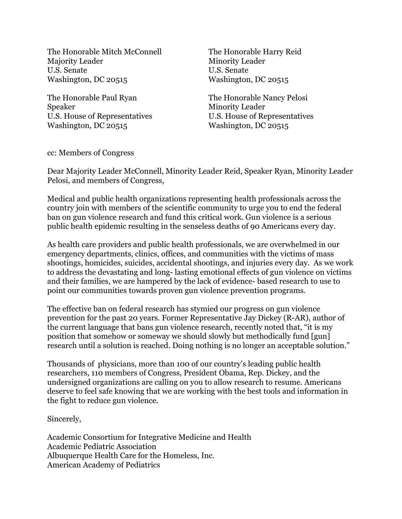The Honorable Mitch McConnell Majority Leader U.S. Senate Washington, DC 20515

The Honorable Paul Ryan Speaker U.S. House of Representatives Washington, DC 20515

The Honorable Harry Reid Minority Leader U.S. Senate Washington, DC 20515

The Honorable Nancy Pelosi Minority Leader U.S. House of Representatives Washington, DC 20515

cc: Members of Congress

Dear Majority Leader McConnell, Minority Leader Reid, Speaker Ryan, Minority Leader Pelosi, and members of Congress,

Medical and public health organizations representing health professionals across the country join with members of the scientific community to urge you to end the federal ban on gun violence research and fund this critical work. Gun violence is a serious public health epidemic resulting in the senseless deaths of 90 Americans every day.

As health care providers and public health professionals, we are overwhelmed in our emergency departments, clinics, offices, and communities with the victims of mass shootings, homicides, suicides, accidental shootings, and injuries every day. As we work to address the devastating and long- lasting emotional effects of gun violence on victims and their families, we are hampered by the lack of evidence- based research to use to point our communities towards proven gun violence prevention programs.

The effective ban on federal research has stymied our progress on gun violence prevention for the past 20 years. Former Representative Jay Dickey (R-AR), author of the current language that bans gun violence research, recently noted that, "it is my position that somehow or someway we should slowly but methodically fund [gun] research until a solution is reached. Doing nothing is no longer an acceptable solution."

Thousands of physicians, more than 100 of our country's leading public health researchers, 110 members of Congress, President Obama, Rep. Dickey, and the undersigned organizations are calling on you to allow research to resume. Americans deserve to feel safe knowing that we are working with the best tools and information in the fight to reduce gun violence.

Sincerely,

Academic Consortium for Integrative Medicine and Health Academic Pediatric Association Albuquerque Health Care for the Homeless, Inc. American Academy of Pediatrics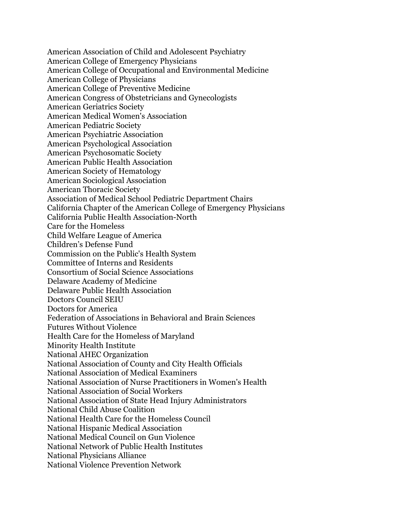American Association of Child and Adolescent Psychiatry American College of Emergency Physicians American College of Occupational and Environmental Medicine American College of Physicians American College of Preventive Medicine American Congress of Obstetricians and Gynecologists American Geriatrics Society American Medical Women's Association American Pediatric Society American Psychiatric Association American Psychological Association American Psychosomatic Society American Public Health Association American Society of Hematology American Sociological Association American Thoracic Society Association of Medical School Pediatric Department Chairs California Chapter of the American College of Emergency Physicians California Public Health Association-North Care for the Homeless Child Welfare League of America Children's Defense Fund Commission on the Public's Health System Committee of Interns and Residents Consortium of Social Science Associations Delaware Academy of Medicine Delaware Public Health Association Doctors Council SEIU Doctors for America Federation of Associations in Behavioral and Brain Sciences Futures Without Violence Health Care for the Homeless of Maryland Minority Health Institute National AHEC Organization National Association of County and City Health Officials National Association of Medical Examiners National Association of Nurse Practitioners in Women's Health National Association of Social Workers National Association of State Head Injury Administrators National Child Abuse Coalition National Health Care for the Homeless Council National Hispanic Medical Association National Medical Council on Gun Violence National Network of Public Health Institutes National Physicians Alliance National Violence Prevention Network